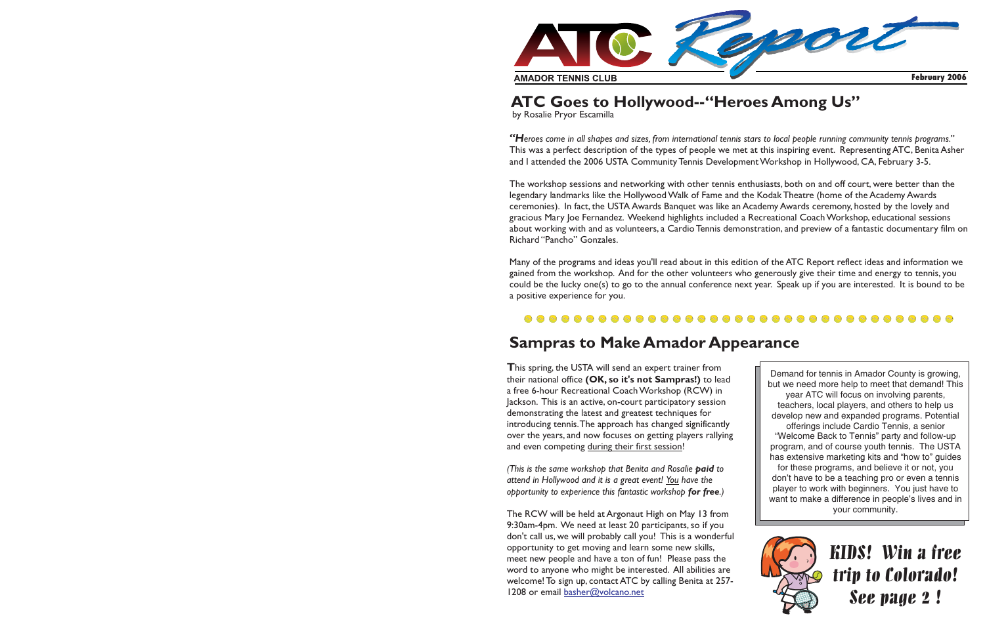

## **ATC Goes to Hollywood--"Heroes Among Us"**

by Rosalie Pryor Escamilla

This was <sup>a</sup> perfect description of the types of people we met at this inspiring event. Representing ATC, Benita Asher and I attended the 2006 USTA Community Tennis Development Workshop in Hollywood, CA, February 3-5. "Heroes come in all shapes and sizes, from international tennis stars to local people running community tennis programs."

The workshop sessions and networking with other tennis enthusiasts, both on and off court, were better than the legendary landmarks like the Hollywood Walk of Fame and the Kodak Theatre (home of the Academy Awards ceremonies). In fact, the USTA Awards Banquet was like an Academy Awards ceremony, hosted by the lovely and gracious Mary Joe Fernandez. Weekend highlights included <sup>a</sup> Recreational Coach Workshop, educational sessions about working with and as volunteers, <sup>a</sup> Cardio Tennis demonstration, and preview of <sup>a</sup> fantastic documentary film on Richard "Pancho" Gonzales.

Many of the programs and ideas you'll read about in this edition of the ATC Report reflect ideas and information we gained from the workshop. And for the other volunteers who generously give their time and energy to tennis, you could be the lucky one(s) to go to the annual conference next year. Speak up if you are interested. It is bound to be <sup>a</sup> positive experience for you.

#### 

### **Sampras to Make Amador Appearance**

**T**his spring, the USTA will send an exper<sup>t</sup> trainer from **their national office (OK, so**  $\mathop{\sf it \,}$ **s**  $\mathop{\sf not \,}$  **<code>Sampras!)</code> to lead** <sup>a</sup> free 6-hour Recreational Coach Workshop (RCW) in Jackson. This is an active, on-court participatory session demonstrating the latest and greatest techniques for introducing tennis.The approach has changed significantly over the years, and now focuses on getting players rallying and even competing <u>during their first session</u>!

*(This is the same workshop that Benita and Rosalie to paid attend in Hollywood and it is <sup>a</sup> grea<sup>t</sup> event! have the You opportunity to experience this fantastic workshop .) for free*

The RCW will be held at Argonaut High on May 13 from 9:30am-4pm. We need at least 20 participants, so if you don't call us, we will probably call you! This is <sup>a</sup> wonderful opportunity to ge<sup>t</sup> moving and learn some new skills, meet new people and have <sup>a</sup> ton of fun! Please pass the word to anyone who might be interested. All abilities are welcome! To sign up, contact ATC by calling Benita at 257- 1208 or email <u>basher@volcano.net</u>

Demand for tennis in Amador County is growing, but we need more help to meet that demand! This year ATC will focus on involving parents, teachers, local players, and others to help us develop new and expanded programs. Potential offerings include Cardio Tennis, <sup>a</sup> senior "Welcome Back to Tennis" party and follow-up program, and of course youth tennis. The USTA has extensive marketing kits and "how to" guides for these programs, and believe it or not, you don't have to be <sup>a</sup> teaching pro or even <sup>a</sup> tennis player to work with beginners. You just have to want to make <sup>a</sup> difference in people's lives and in your community.



KIDS! Win a freetrip to Colorado! See page 2!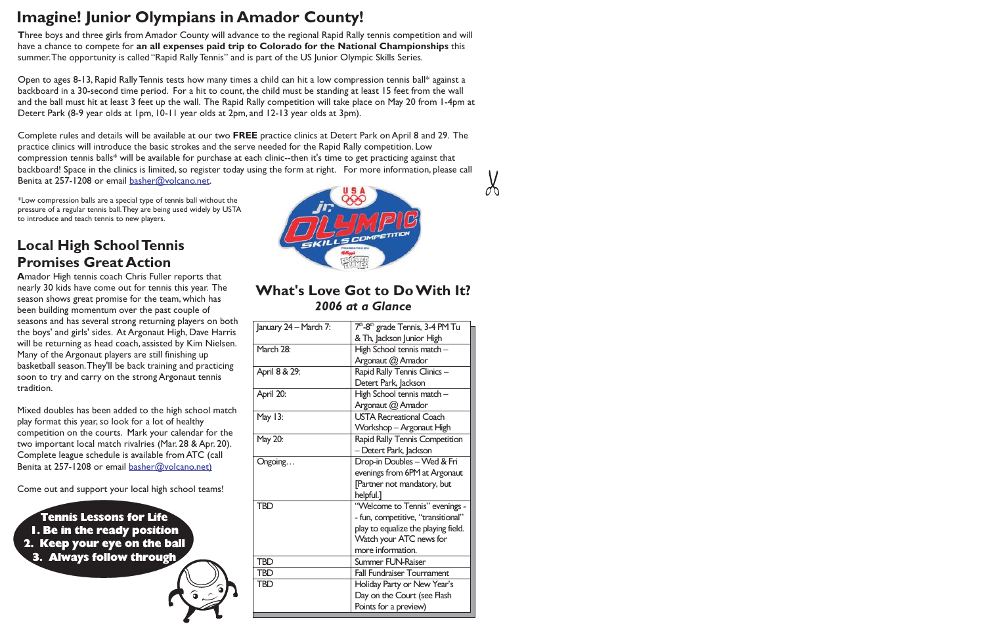# **Imagine! Junior Olympians in Amador County!**

**T** hree boys and three girls from Amador County will advance to the regional Rapid Rally tennis competition and will have a chance to compete for **an all expenses paid trip to Colorado for the National Championships** this summer.The opportunity is called "Rapid Rally Tennis" and is par<sup>t</sup> of the US Junior Olympic Skills Series.

Open to ages 8-13, Rapid Rally Tennis tests how many times <sup>a</sup> child can hit <sup>a</sup> low compression tennis ball\* against <sup>a</sup> backboard in <sup>a</sup> 30-second time period. For <sup>a</sup> hit to count, the child must be standing at least 15 feet from the wall and the ball must hit at least 3 feet up the wall. The Rapid Rally competition will take place on May 20 from 1-4pm at Detert Park (8-9 year olds at 1pm, 10-11 year olds at 2pm, and 12-13 year olds at 3pm).

Complete rules and details will be available at our two **FREE** practice clinics at Detert Park on April 8 and 29. The practice clinics will introduce the basic strokes and the serve needed for the Rapid Rally competition. Low compression tennis balls\* will be available for purchase at each clinic--then it's time to ge<sup>t</sup> practicing against that backboard! Space in the clinics is limited, so register today using the form at right. For more information, please call Benita at 257-1208 or email <u>basher@volcano.net</u>.

\*Low compression balls are <sup>a</sup> special type of tennis ball without the pressure of <sup>a</sup> regular tennis ball.They are being used widely by USTA to introduce and teach tennis to new players.

## **Local High SchoolTennis Promises Great Action**

**A**mador High tennis coach Chris Fuller reports that nearly 30 kids have come out for tennis this year. The season shows grea<sup>t</sup> promise for the team, which has been building momentum over the pas<sup>t</sup> couple of seasons and has several strong returning players on both the boys' and girls' sides. At Argonaut High, Dave Harris will be returning as head coach, assisted by Kim Nielsen. Many of the Argonaut players are still finishing up basketball season.They'll be back training and practicing soon to try and carry on the strong Argonaut tennis tradition.

Mixed doubles has been added to the high school match play format this year, so look for <sup>a</sup> lot of healthy competition on the courts. Mark your calendar for the two important local match rivalries (Mar. 28 & Apr. 20). Complete league schedule is available from ATC (call Benita at 257-1208 or email <u>basher@volcano.net</u>)

Come out and suppor<sup>t</sup> your local high school teams!

Tennis Lessons for Life1. Be in the ready position 2. Keep your eye on the ball 3. Always follow through



### **What's Love Got to Do With It?***2006 at <sup>a</sup> Glance*

| January 24 - March 7: | 7 <sup>th</sup> -8 <sup>th</sup> grade Tennis, 3-4 PM Tu |
|-----------------------|----------------------------------------------------------|
|                       | & Th, Jackson Junior High                                |
| March 28:             | High School tennis match -                               |
|                       | Argonaut @ Amador                                        |
| April 8 & 29:         | Rapid Rally Tennis Clinics -                             |
|                       | Detert Park, Jackson                                     |
| April 20:             | High School tennis match -                               |
|                       | Argonaut @ Amador                                        |
| May 13:               | <b>USTA Recreational Coach</b>                           |
|                       | Workshop - Argonaut High                                 |
| May 20:               | Rapid Rally Tennis Competition                           |
|                       | - Detert Park, Jackson                                   |
| Ongoing               | Drop-in Doubles - Wed & Fri                              |
|                       | evenings from 6PM at Argonaut                            |
|                       | [Partner not mandatory, but                              |
|                       | helpful.]                                                |
| <b>TBD</b>            | "Welcome to Tennis" evenings -                           |
|                       | - fun, competitive, "transitional"                       |
|                       | play to equalize the playing field.                      |
|                       | Watch your ATC news for                                  |
|                       | more information.                                        |
| <b>TBD</b>            | Summer FUN-Raiser                                        |
| <b>TBD</b>            | <b>Fall Fundraiser Tournament</b>                        |
| <b>TBD</b>            | Holiday Party or New Year's                              |
|                       | Day on the Court (see Flash                              |
|                       | Points for a preview)                                    |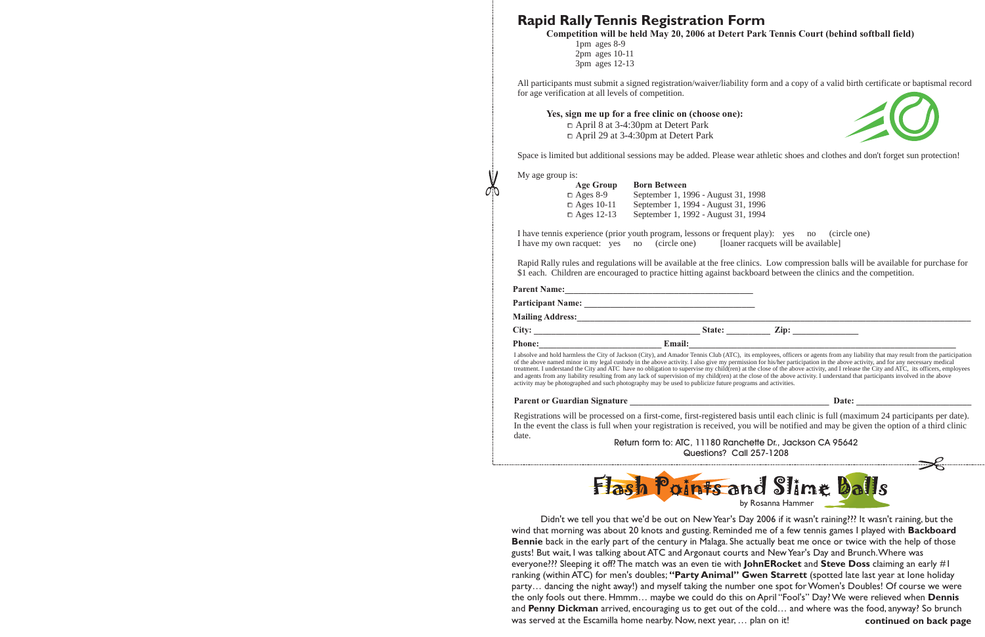### **Rapid RallyTennis Registration Form**

Competition will be held May 20, 2006 at Detert Park Tennis Court (behind softball field)

1pm ages 8-9 2pm ages 10-11 3pm ages 12-13

All participants must submit <sup>a</sup> signed registration/waiver/liability form and <sup>a</sup> copy of <sup>a</sup> valid birth certificate or baptismal record for age verification at all levels of competition.

**Yes, sign me up for <sup>a</sup> free clinic on (choose one):** April 8 at 3-4:30pm at Detert Park April 29 at 3-4:30pm at Detert Park



Space is limited but additional sessions may be added. Please wear athletic shoes and clothes and don't forget sun protection!

My age group is:

| <b>Age Group</b>  | <b>Born Between</b>                 |
|-------------------|-------------------------------------|
| $\Box$ Ages 8-9   | September 1, 1996 - August 31, 1998 |
| $\Box$ Ages 10-11 | September 1, 1994 - August 31, 1996 |
| $\Box$ Ages 12-13 | September 1, 1992 - August 31, 1994 |

I have tennis experience (prior youth program, lessons or frequent play): yes no (circle one) I have my own racquet: yes no (circle one) [loaner racquets will be available]

Rapid Rally rules and regulations will be available at the free clinics. Low compression balls will be available for purchase for \$1 each. Children are encouraged to practice hitting against backboard between the clinics and the competition.

| <b>Parent Name:</b>                                                                                                                                                                                                            |               |                                                                                                                                                                                   |
|--------------------------------------------------------------------------------------------------------------------------------------------------------------------------------------------------------------------------------|---------------|-----------------------------------------------------------------------------------------------------------------------------------------------------------------------------------|
| <b>Participant Name:</b>                                                                                                                                                                                                       |               |                                                                                                                                                                                   |
| <b>Mailing Address:</b>                                                                                                                                                                                                        |               |                                                                                                                                                                                   |
| City: the contract of the contract of the contract of the contract of the contract of the contract of the contract of the contract of the contract of the contract of the contract of the contract of the contract of the cont | State:        | $\mathbf{Zip:}$                                                                                                                                                                   |
| <b>Phone:</b>                                                                                                                                                                                                                  | <b>Email:</b> |                                                                                                                                                                                   |
|                                                                                                                                                                                                                                |               | I absolve and hold harmless the City of Jackson (City), and Amador Tennis Club (ATC), its employees, officers or agents from any liability that may result from the participation |

of the above named minor in my legal custody in the above activity. I also give my permission for his/her participation in the above activity, and for any necessary medical treatment. I understand the City and ATC have no obligation to supervise my child(ren) at the close of the above activity, and I release the City and ATC, its officers, employees and agents from any liability resulting from any lack of supervision of my child(ren) at the close of the above activity. I understand that participants involved in the above activity may be photographed and such photography may be used to publicize future programs and activities.

#### **Parent or Guardian Signature** *lease and <b>a set is a contract of the set is a contract of the set is a contract of the set is a contract of the set is a contract of the set is a contract of the set is a contract of t*

Registrations will be processed on <sup>a</sup> first-come, first-registered basis until each clinic is full (maximum 24 participants per date). In the event the class is full when your registration is received, you will be notified and may be given the option of <sup>a</sup> third clinic date.

Return form to: ATC, 11180 Ranchette Dr., Jackson CA 95642 Questions? Call 257-1208



|  |  | by Rosanna Hammer |
|--|--|-------------------|
|--|--|-------------------|

Didn't we tell you that we'd be out on New Year's Day 2006 if it wasn't raining??? It wasn't raining, but the wind that morning was about 20 knots and gusting. Reminded me of <sup>a</sup> few tennis games I played with **Backboard Bennie** back in the early part of the century in Malaga. She actually beat me once or twice with the help of those gusts! But wait, I was talking about ATC and Argonaut courts and NewYear's Day and Brunch.Where was everyone??? Sleeping it off? The match was an even tie with **JohnERocket** and **Steve Doss** claiming an early #1  ${\bf r}$ anking (within ATC) for men's doubles; "**Party Animal'' Gwen Starrett** (spotted late last year at lone holiday party… dancing the night away!) and myself taking the number one spo<sup>t</sup> for Women's Doubles! Of course we were the only fools out there. Hmmm… maybe we could do this on April "Fool's" Day? We were relieved when **Dennis** and **Penny Dickman** arrived, encouraging us to get out of the cold… and where was the food, anyway? So brunch was served at the Escamilla home nearby. Now, next year, … plan on it! **continued on back page**